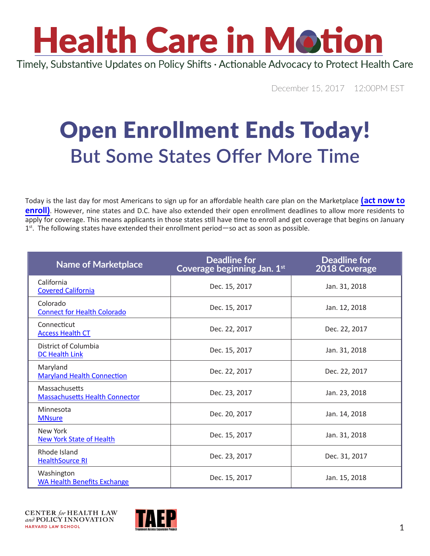# **Health Care in Motion**

Timely, Substantive Updates on Policy Shifts · Actionable Advocacy to Protect Health Care

December 15, 2017 12:00PM EST

### Open Enrollment Ends Today! **But Some States Offer More Time**

Today is the last day for most Americans to sign up for an affordable health care plan on the Marketplace **(act now to [enroll](https://www.healthcare.gov/))**. However, nine states and D.C. have also extended their open enrollment deadlines to allow more residents to apply for coverage. This means applicants in those states still have time to enroll and get coverage that begins on January 1<sup>st</sup>. The following states have extended their enrollment period—so act as soon as possible.

| <b>Name of Marketplace</b>                             | <b>Deadline for</b><br>Coverage beginning Jan. 1st | <b>Deadline for</b><br>2018 Coverage |
|--------------------------------------------------------|----------------------------------------------------|--------------------------------------|
| California<br><b>Covered California</b>                | Dec. 15, 2017                                      | Jan. 31, 2018                        |
| Colorado<br><b>Connect for Health Colorado</b>         | Dec. 15, 2017                                      | Jan. 12, 2018                        |
| Connecticut<br><b>Access Health CT</b>                 | Dec. 22, 2017                                      | Dec. 22, 2017                        |
| District of Columbia<br><b>DC Health Link</b>          | Dec. 15, 2017                                      | Jan. 31, 2018                        |
| Maryland<br><b>Maryland Health Connection</b>          | Dec. 22, 2017                                      | Dec. 22, 2017                        |
| Massachusetts<br><b>Massachusetts Health Connector</b> | Dec. 23, 2017                                      | Jan. 23, 2018                        |
| Minnesota<br><b>MNsure</b>                             | Dec. 20, 2017                                      | Jan. 14, 2018                        |
| New York<br><b>New York State of Health</b>            | Dec. 15, 2017                                      | Jan. 31, 2018                        |
| Rhode Island<br><b>HealthSource RI</b>                 | Dec. 23, 2017                                      | Dec. 31, 2017                        |
| Washington<br><b>WA Health Benefits Exchange</b>       | Dec. 15, 2017                                      | Jan. 15, 2018                        |